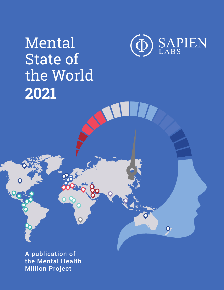# Mental State of the World **2021**



C

 $\overline{\mathbf{Q}}$ 

A publication of the Mental Health Million Project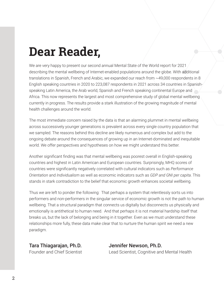### **Dear Reader,**

We are very happy to present our second annual Mental State of the World report for 2021 describing the mental wellbeing of Internet-enabled populations around the globe. With additional translations in Spanish, French and Arabic, we expanded our reach from ~49,000 respondents in 8 English speaking countries in 2020 to 223,087 respondents in 2021 across 34 countries in Spanishspeaking Latin America, the Arab world, Spanish and French speaking continental Europe and Africa. This now represents the largest and most comprehensive study of global mental wellbeing currently in progress. The results provide a stark illustration of the growing magnitude of mental health challenges around the world.

The most immediate concern raised by the data is that an alarming plummet in mental wellbeing across successively younger generations is prevalent across every single country population that we sampled. The reasons behind this decline are likely numerous and complex but add to the ongoing debate around the consequences of growing up in an Internet-dominated and inequitable world. We offer perspectives and hypotheses on how we might understand this better.

Another significant finding was that mental wellbeing was poorest overall in English-speaking countries and highest in Latin American and European countries. Surprisingly, MHQ scores of countries were significantly negatively correlated with cultural indicators such as *Performance Orientation* and *Individualism* as well as economic indicators such as *GDP and GNI per capita*. This stands in stark contradiction to the belief that economic growth enhances societal wellbeing.

Thus we are left to ponder the following: That perhaps a system that relentlessly sorts us into performers and non-performers in the singular service of economic growth is not the path to human wellbeing. That a structural paradigm that connects us digitally but disconnects us physically and emotionally is antithetical to human need. And that perhaps it is not material hardship itself that breaks us, but the lack of belonging and being in it together. Even as we must understand these relationships more fully, these data make clear that to nurture the human spirit we need a new paradigm.

Tara Thiagarajan, Ph.D. Jennifer Newson, Ph.D.

Founder and Chief Scientist Lead Scientist, Cognitive and Mental Health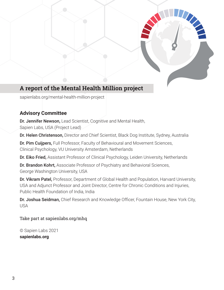

#### **A report of the Mental Health Million project**

sapienlabs.org/mental-health-million-project

#### **Advisory Committee**

Dr. Jennifer Newson, Lead Scientist, Cognitive and Mental Health, Sapien Labs, USA (Project Lead)

Dr. Helen Christenson, Director and Chief Scientist, Black Dog Institute, Sydney, Australia

Dr. Pim Cuijpers, Full Professor, Faculty of Behavioural and Movement Sciences, Clinical Psychology, VU University Amsterdam, Netherlands

Dr. Eiko Fried, Assistant Professor of Clinical Psychology, Leiden University, Netherlands

Dr. Brandon Kohrt, Associate Professor of Psychiatry and Behavioral Sciences, George Washington University, USA

Dr. Vikram Patel, Professor, Department of Global Health and Population, Harvard University, USA and Adjunct Professor and Joint Director, Centre for Chronic Conditions and Injuries, Public Health Foundation of India, India

Dr. Joshua Seidman, Chief Research and Knowledge Officer, Fountain House, New York City, USA

Take part at sapienlabs.org/mhq

© Sapien Labs 2021 **sapienlabs.org**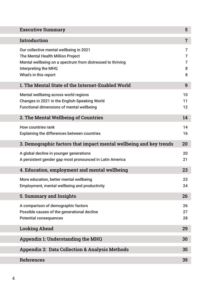| <b>Executive Summary</b>                                                                                                                                                                    | 5                     |
|---------------------------------------------------------------------------------------------------------------------------------------------------------------------------------------------|-----------------------|
| <b>Introduction</b>                                                                                                                                                                         | $\overline{7}$        |
| Our collective mental wellbeing in 2021<br>The Mental Health Million Project<br>Mental wellbeing on a spectrum from distressed to thriving<br>Interpreting the MHQ<br>What's in this report | 7<br>7<br>7<br>8<br>8 |
| 1. The Mental State of the Internet-Enabled World                                                                                                                                           | 9                     |
| Mental wellbeing across world regions<br>Changes in 2021 in the English-Speaking World<br><b>Functional dimensions of mental wellbeing</b>                                                  | 10<br>11<br>12        |
| 2. The Mental Wellbeing of Countries                                                                                                                                                        | 14                    |
| <b>How countries rank</b><br><b>Explaining the differences between countries</b>                                                                                                            | 14<br>16              |
| 3. Demographic factors that impact mental wellbeing and key trends                                                                                                                          | 20                    |
| A global decline in younger generations<br>A persistent gender gap most pronounced in Latin America                                                                                         | 20<br>21              |
| 4. Education, employment and mental wellbeing                                                                                                                                               | 23                    |
| More education, better mental wellbeing<br>Employment, mental wellbeing and productivity                                                                                                    | 23<br>24              |
| <b>5. Summary and Insights</b>                                                                                                                                                              | 26                    |
| A comparison of demographic factors<br>Possible causes of the generational decline<br><b>Potential consequences</b>                                                                         | 26<br>27<br>28        |
| <b>Looking Ahead</b>                                                                                                                                                                        | 29                    |
| <b>Appendix 1: Understanding the MHQ</b>                                                                                                                                                    | 30                    |
| <b>Appendix 2: Data Collection &amp; Analysis Methods</b>                                                                                                                                   | 35                    |
| <b>References</b>                                                                                                                                                                           | 39                    |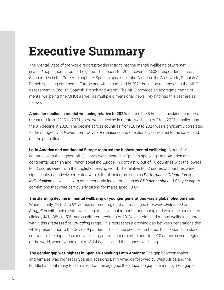### **Executive Summary**

The Mental State of the World report provides insight into the mental wellbeing of *Internetenabled* populations around the globe. This report for 2021 covers 223,087 respondents across 34 countries in the Core Anglosphere, Spanish-speaking Latin America, the Arab world, Spanish & French speaking continental Europe and Africa sampled in 2021 based on responses to the MHQ assessment in English, Spanish, French and Arabic. The MHQ provides an aggregate metric of mental wellbeing (the MHQ) as well as multiple dimensional views. Key findings this year are as follows:

**A smaller decline in mental wellbeing relative to 2020:** Across the 8 English speaking countries measured from 2019 to 2021, there was a decline in mental wellbeing of 3% in 2021, smaller than the 8% decline in 2020. The decline across countries from 2019 to 2021 was significantly correlated to the stringency of Government Covid-19 measures and directionally correlated to the cases and deaths per million.

**Latin America and continental Europe reported the highest mental wellbeing:** 8 out of 10 countries with the highest MHQ scores were located in Spanish-speaking Latin America and continental Spanish and French-speaking Europe. In contrast, 8 out of 10 countries with the lowest MHQ scores were from the English-speaking world. The relative MHQ scores of countries were significantly negatively correlated with cultural indicators such as *Performance Orientation* and *Individualism* as well as with core economic indicators such as *GDP per capita* and *GNI per capita*, correlations that were particularly strong for males aged 18-64.

**The alarming decline in mental wellbeing of younger generations was a global phenomenon:** Whereas only 7% (6% to 9% across different regions) of those aged 65+ were *Distressed* or *Struggling* with their mental wellbeing at a level that impacts functioning and would be considered clinical, 44% (38% to 50% across different regions) of 18-24 year olds had mental wellbeing scores within this *Distressed* or *Struggling* range. This represents a growing gap between generations that, while present prior to the Covid-19 pandemic, has since been exacerbated. It also stands in stark contrast to the happiness and wellbeing patterns documented prior to 2010 across several regions

**The gender gap was highest in Spanish-speaking Latin America:** The gap between males and females was highest in Spanish-speaking Latin America followed by West Africa and the Middle East, but many fold smaller than the age gap, the education gap, the employment gap or

of the world, where young adults 18-24 typically had the highest wellbeing.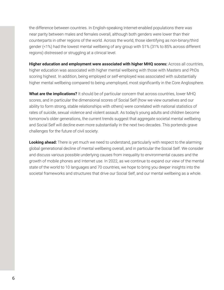the difference between countries. In English-speaking Internet-enabled populations there was near parity between males and females overall, although both genders were lower than their counterparts in other regions of the world. Across the world, those identifying as non-binary/third gender (<1%) had the lowest mental wellbeing of any group with 51% (31% to 85% across different regions) distressed or struggling at a clinical level.

**Higher education and employment were associated with higher MHQ scores:** Across all countries, higher education was associated with higher mental wellbeing with those with Masters and PhDs scoring highest. In addition, being employed or self-employed was associated with substantially higher mental wellbeing compared to being unemployed, most significantly in the Core Anglosphere.

**What are the implications?** It should be of particular concern that across countries, lower MHQ scores, and in particular the dimensional scores of Social Self (how we view ourselves and our ability to form strong, stable relationships with others) were correlated with national statistics of rates of suicide, sexual violence and violent assault. As today's young adults and children become tomorrow's older generations, the current trends suggest that aggregate societal mental wellbeing and Social Self will decline even more substantially in the next two decades. This portends grave challenges for the future of civil society.

**Looking ahead:** There is yet much we need to understand, particularly with respect to the alarming global generational decline of mental wellbeing overall, and in particular the Social Self. We consider and discuss various possible underlying causes from inequality to environmental causes and the growth of mobile phones and Internet use. In 2022, as we continue to expand our view of the mental state of the world to 10 languages and 70 countries, we hope to bring you deeper insights into the societal frameworks and structures that drive our Social Self, and our mental wellbeing as a whole.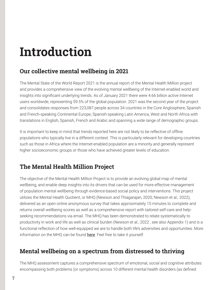### **Introduction**

#### **Our collective mental wellbeing in 2021**

The Mental State of the World Report 2021 is the annual report of the Mental Health Million project and provides a comprehensive view of the evolving mental wellbeing of the Internet-enabled world and insights into significant underlying trends. As of January 2021 there were 4.66 billion active Internet users worldwide, representing 59.5% of the global population. 2021 was the second year of the project and consolidates responses from 223,087 people across 34 countries in the Core Anglosphere, Spanish and French-speaking Continental Europe, Spanish-speaking Latin America, West and North Africa with translations in English, Spanish, French and Arabic and spanning a wide range of demographic groups.

It is important to keep in mind that trends reported here are not likely to be reflective of offline populations who typically live in a different context. This is particularly relevant for developing countries such as those in Africa where the Internet-enabled population are a minority and generally represent higher socioeconomic groups or those who have achieved greater levels of education.

#### **The Mental Health Million Project**

The objective of the Mental Health Million Project is to provide an evolving global map of mental wellbeing, and enable deep insights into its drivers that can be used for more effective management of population mental wellbeing through evidence-based social policy and interventions. This project utilizes the Mental Health Quotient, or MHQ (Newson and Thiagarajan, 2020; Newson et al., 2022), delivered as an open online anonymous survey that takes approximately 15 minutes to complete and returns overall wellbeing scores as well as a comprehensive report with tailored self-care and helpseeking recommendations via email. The MHQ has been demonstrated to relate systematically to productivity in work and life as well as clinical burden (Newson et al., 2022 , see also Appendix 1) and is a functional reflection of how well-equipped we are to handle both life's adversities and opportunities. More information on the MHQ can be found [here](https://sapienlabs.org/mhq/). Feel free to take it yourself.

#### **Mental wellbeing on a spectrum from distressed to thriving**

The MHQ assessment captures a comprehensive spectrum of emotional, social and cognitive attributes encompassing both problems (or symptoms) across 10 different mental health disorders (as defined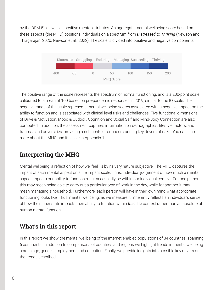by the DSM-5), as well as positive mental attributes. An aggregate mental wellbeing score based on these aspects (the MHQ) positions individuals on a spectrum from *Distressed* to *Thriving* (Newson and Thiagarajan, 2020; Newson et al., 2022). The scale is divided into positive and negative components.



The positive range of the scale represents the spectrum of normal functioning, and is a 200-point scale calibrated to a mean of 100 based on pre-pandemic responses in 2019, similar to the IQ scale. The negative range of the scale represents mental wellbeing scores associated with a negative impact on the ability to function and is associated with clinical level risks and challenges. Five functional dimensions of Drive & Motivation, Mood & Outlook, Cognition and Social Self and Mind-Body Connection are also computed. In addition, the assessment captures information on demographics, lifestyle factors, and traumas and adversities, providing a rich context for understanding key drivers of risks. You can learn more about the MHQ and its scale in Appendix 1.

#### **Interpreting the MHQ**

Mental wellbeing, a reflection of how we 'feel', is by its very nature subjective. The MHQ captures the impact of each mental aspect on a life impact scale. Thus, individual judgement of how much a mental aspect impacts our ability to function must necessarily be within our individual context. For one person this may mean being able to carry out a particular type of work in the day, while for another it may mean managing a household. Furthermore, each person will have in their own mind what appropriate functioning looks like. Thus, mental wellbeing, as we measure it, inherently reflects an individual's sense of how their inner state impacts their ability to function within *their* life context rather than an absolute of human mental function.

#### **What's in this report**

In this report we show the mental wellbeing of the Internet-enabled populations of 34 countries, spanning 6 continents. In addition to comparisons of countries and regions we highlight trends in mental wellbeing across age, gender, employment and education. Finally, we provide insights into possible key drivers of the trends described.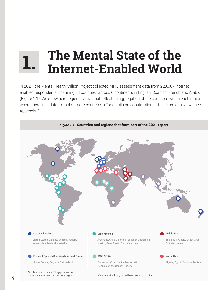### **The Mental State of the Internet-Enabled World 1.**

In 2021, the Mental Health Million Project collected MHQ assessment data from 223,087 Internet enabled respondents, spanning 34 countries across 6 continents in English, Spanish, French and Arabic (Figure 1.1). We show here regional views that reflect an aggregation of the countries within each region where there was data from 4 or more countries. (For details on construction of these regional views see Appendix 2).

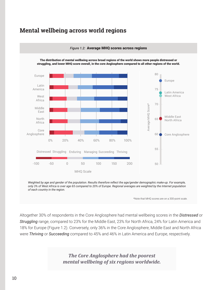#### **Mental wellbeing across world regions**



*Figure 1.2:* Average MHQ scores across regions

The distribution of mental wellbeing across broad regions of the world shows more people distressed or struggling, and lower MHQ score overall, in the core Anglosphere compared to all other regions of the world.

Weighted by age and gender of the population. Results therefore reflect the age/gender demographic make-up. For example, *only 3% of West Africa is over age 65 compared to 20% of Europe. Regional averages are weighted by the Internet population of each country in the region.*

\*Note that MHQ scores are on a 300-point scale.

Altogether 30% of respondents in the Core Anglosphere had mental wellbeing scores in the *Distressed* or *Struggling* range, compared to 23% for the Middle East, 23% for North Africa, 24% for Latin America and 18% for Europe (Figure 1.2). Conversely, only 36% in the Core Anglosphere, Middle East and North Africa were *Thriving* or *Succeeding* compared to 45% and 46% in Latin America and Europe, respectively.

*The Core Anglosphere had the poorest*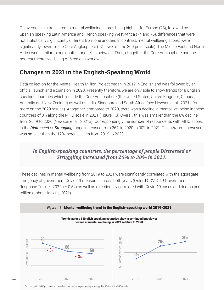On average, this translated to mental wellbeing scores being highest for Europe (78), followed by Spanish-speaking Latin America and French-speaking West Africa (74 and 75), differences that were not statistically significantly different from one another. In contrast, mental wellbeing scores were significantly lower for the Core Anglosphere (5% lower on the 300-point scale). The Middle East and North Africa were similar to one another and fell in between. Thus, altogether the Core Anglosphere had the poorest mental wellbeing of 6 regions worldwide.

#### **Changes in 2021 in the English-Speaking World**

Data collection for the Mental Health Million Project began in 2019 in English and was followed by an official launch and expansion in 2020. Presently therefore, we are only able to show trends for 8 English speaking countries which include the Core Anglosphere (the United States, United Kingdom, Canada, Australia and New Zealand) as well as India, Singapore and South Africa (see Newson et al., 2021a for more on the 2020 results). Altogether, compared to 2020, there was a decline in mental wellbeing in these countries of 3% along the MHQ scale in 2021 (Figure 1.3) Overall, this was smaller than the 8% decline from 2019 to 2020 (Newson et al., 2021a). Correspondingly the number of respondents with MHQ scores in the *Distressed* or *Struggling* range increased from 26% in 2020 to 30% in 2021. This 4% jump however was smaller than the 12% increase seen from 2019 to 2020.

#### *In English-speaking countries, the percentage of people Distressed or Struggling increased from 26% to 30% in 2021.*

These declines in mental wellbeing from 2019 to 2021 were significantly correlated with the aggregate stringency of government Covid-19 measures across both years (Oxford COVID-19 Government Response Tracker, 2022; r=-0.54) as well as directionally correlated with Covid-19 cases and deaths per million (Johns Hopkins, 2021).



% change in MHQ scores is based on decrease in percentage along the 300-point MHQ scale

11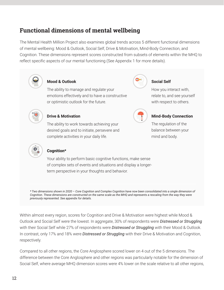#### **Functional dimensions of mental wellbeing**

The Mental Health Million Project also examines global trends across 5 different functional dimensions of mental wellbeing: Mood & Outlook, Social Self, Drive & Motivation, Mind-Body Connection, and Cognition. These dimensions represent scores constructed from subsets of elements within the MHQ to reflect specific aspects of our mental functioning (See Appendix 1 for more details).



*Cognition. These dimensions are constructed on the same scale as the MHQ and represents a rescaling from the way they were previously represented. See appendix for details.*

Within almost every region, scores for Cognition and Drive & Motivation were highest while Mood & Outlook and Social Self were the lowest. In aggregate, 30% of respondents were *Distressed or Struggling* with their Social Self while 27% of respondents were *Distressed or Struggling* with their Mood & Outlook. In contrast, only 17% and 18% were *Distressed or Struggling* with their Drive & Motivation and Cognition, respectively.

Compared to all other regions, the Core Anglosphere scored lower on 4 out of the 5 dimensions. The difference between the Core Anglosphere and other regions was particularly notable for the dimension of Social Self, where average MHQ dimension scores were 4% lower on the scale relative to all other regions,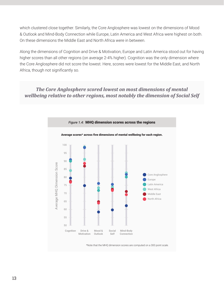which clustered close together. Similarly, the Core Anglosphere was lowest on the dimensions of Mood & Outlook and Mind-Body Connection while Europe, Latin America and West Africa were highest on both. On these dimensions the Middle East and North Africa were in between.

Along the dimensions of Cognition and Drive & Motivation, Europe and Latin America stood out for having higher scores than all other regions (on average 2-4% higher). Cognition was the only dimension where the Core Anglosphere did not score the lowest. Here, scores were lowest for the Middle East, and North Africa, though not significantly so.

#### *The Core Anglosphere scored lowest on most dimensions of mental wellbeing relative to other regions, most notably the dimension of Social Self*



\*Note that the MHQ dimension scores are computed on a 300 point scale.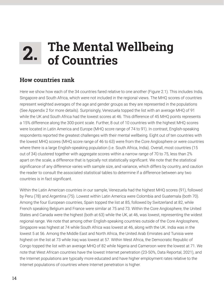### **2. The Mental Wellbeing of Countries**

#### **How countries rank**

Here we show how each of the 34 countries fared relative to one another (Figure 2.1). This includes India, Singapore and South Africa, which were not included in the regional views. The MHQ scores of countries represent weighted averages of the age and gender groups as they are represented in the populations (See Appendix 2 for more details). Surprisingly, Venezuela topped the list with an average MHQ of 91 while the UK and South Africa had the lowest scores at 46. This difference of 45 MHQ points represents a 15% difference along the 300-point scale. Further, 8 out of 10 countries with the highest MHQ scores were located in Latin America and Europe (MHQ score range of 74 to 91). In contrast, English-speaking respondents reported the greatest challenges with their mental wellbeing. Eight out of ten countries with the lowest MHQ scores (MHQ score range of 46 to 63) were from the Core Anglosphere or were countries where there is a large English-speaking population (i.e. South Africa, India). Overall, most countries (15 out of 34) clustered together with aggregate scores within a narrow range of 70 to 75, less than 2% apart on the scale, a difference that is typically not statistically significant. We note that the statistical significance of any difference varies with sample size, and variance, which differs by country, and caution the reader to consult the associated statistical tables to determine if a difference between any two countries is in fact significant.

Within the Latin American countries in our sample, Venezuela had the highest MHQ scores (91), followed by Peru (78) and Argentina (75). Lowest within Latin America were Colombia and Guatemala (both 70). Among the four European countries, Spain topped the list at 85, followed by Switzerland at 82, while French speaking Belgium and France were similar at 75 and 73. Within the Core Anglosphere, the United States and Canada were the highest (both at 63) while the UK, at 46, was lowest, representing the widest regional range. We note that among other English-speaking countries outside of the Core Anglosphere, Singapore was highest at 74 while South Africa was lowest at 46, along with the UK. India was in the lowest 5 at 56. Among the Middle East and North Africa, the United Arab Emirates and Tunisia were highest on the list at 73 while Iraq was lowest at 57. Within West Africa, the Democratic Republic of Congo topped the list with an average MHQ of 82 while Nigeria and Cameroon were the lowest at 71. We note that West African countries have the lowest Internet penetration (23-50%, Data Reportal, 2021), and the Internet populations are typically more educated and have higher employment rates relative to the Internet populations of countries where Internet penetration is higher.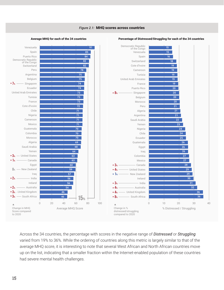

Across the 34 countries, the percentage with scores in the negative range of *Distressed* or *Struggling* varied from 19% to 36%. While the ordering of countries along this metric is largely similar to that of the average MHQ score, it is interesting to note that several West African and North African countries move up on the list, indicating that a smaller fraction within the Internet-enabled population of these countries had severe mental health challenges.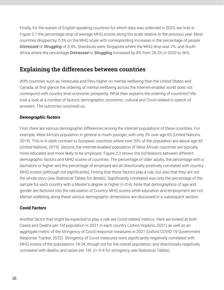Finally, for the subset of English-speaking countries for which data was collected in 2020, we note in Figure 2.1 the percentage drop of average MHQ scores along the scale relative to the previous year. Most countries dropped by 2-3% on the MHQ scale with corresponding increases in the percentage of people *Distressed* or *Struggling* of 3-4%. Standouts were Singapore where the MHQ drop was 7%, and South Africa where the percentage *Distressed* or *Struggling* increased by 8% from 28.5% in 2020 to 36%.

#### **Explaining the differences between countries**

With countries such as Venezuela and Peru higher on mental wellbeing than the United States and Canada, at first glance the ordering of mental wellbeing across the Internet-enabled world does not correspond with country level economic prosperity. What then explains the ordering of countries? We took a look at a number of factors; demographic, economic, cultural and Covid related in search of answers. The outcomes surprised us.

#### *Demographic factors*

First, there are various demographic differences among the Internet populations of these countries. For example, West Africa's population in general is much younger, with only 3% over age 65 (United Nations, 2019). This is in stark contrast to European countries where over 20% of the population are above age 65 (United Nations, 2019). Second, the Internet-enabled population of West African countries are typically more educated and more likely to be employed. Figure 2.3 shows the correlations between different demographic factors and MHQ scores of countries. The percentage of older adults, the percentage with a bachelors or higher and the percentage of employed are all directionally positively correlated with country MHQ scores (although not significantly), hinting that these factors play a role, but also that they are not the whole story (see Statistical Tables for details). Significantly correlated was only the percentage of the sample for each country with a Master's degree or higher (r=0.4). Note that demographics of age and gender are factored into the calculation of Country MHQ scores while education and employment are not. Mental wellbeing along these various demographic dimensions are discussed in a subsequent section.

#### *Covid Factors*

Another factor that might be expected to play a role are Covid related metrics. Here we looked at both Cases and Deaths per 1M population in 2021 in each country (Johns Hopkins, 2021) as well as an aggregate metric of the stringency of Covid response measures in 2021 (Oxford COVID-19 Government Response Tracker, 2022). Stringency of Covid measures were significantly negatively correlated with MHQ scores of the populations 18-34, though not for the overall population, and directionally negatively correlated with deaths and cases per 1M. (r=-0.4 for stringency, see Statistical Tables).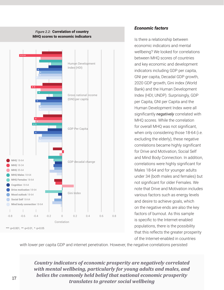

#### *Economic factors*

Is there a relationship between economic indicators and mental wellbeing? We looked for correlations between MHQ scores of countries and key economic and development indicators including GDP per capita, GNI per capita, Decadal GDP growth, 2020 GDP growth, Gini index (World Bank) and the Human Development Index (HDI; UNDP). Surprisingly, GDP per Capita, GNI per Capita and the Human Development Index were all significantly *negatively* correlated with MHQ scores. While the correlation for overall MHQ was not significant, when only considering those 18-64 (i.e. excluding the elderly), these negative correlations became highly significant for Drive and Motivation, Social Self and Mind Body Connection. In addition, correlations were highly significant for Males 18-64 and for younger adults under 34 (both males and females) but not significant for older Females. We note that Drive and Motivation includes various factors such as energy levels and desire to achieve goals, which on the negative ends are also the key factors of burnout. As this sample is specific to the Internet-enabled populations, there is the possibility that this reflects the greater prosperity of the Internet-enabled in countries

with lower per capita GDP and internet penetration. However, the negative correlations persisted

*Country indicators of economic prosperity are negatively correlated with mental wellbeing, particularly for young adults and males, and belies the commonly held belief that national economic prosperity translates to greater social wellbeing*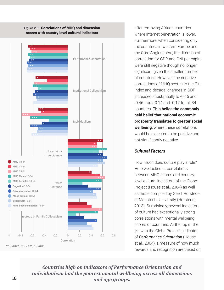

*Figure 2.3:* Correlations of MHQ and dimension scores with country level cultural indicators

after removing African countries where Internet penetration is lower. Furthermore, when considering only the countries in western Europe and the Core Anglosphere, the direction of correlation for GDP and GNI per capita were still negative though no longer significant given the smaller number of countries. However, the negative correlations of MHQ scores to the Gini Index and decadal changes in GDP increased substantially to -0.45 and -0.46 from -0.14 and -0.12 for all 34 countries. **This belies the commonly held belief that national economic prosperity translates to greater social wellbeing,** where these correlations would be expected to be positive and not significantly negative.

#### *Cultural Factors*

How much does culture play a role? Here we looked at correlations between MHQ scores and countrylevel cultural indicators of the Globe Project (House et al., 2004) as well as those compiled by Geert Hofstede at Maastricht University (Hofstede, 2013). Surprisingly, several indicators of culture had exceptionally strong correlations with mental wellbeing scores of countries. At the top of the list was the Globe Project's indicator of *Performance Orientation* (House et al., 2004), a measure of how much rewards and recognition are based on

*Countries high on indicators of Performance Orientation and Individualism had the poorest mental wellbeing across all dimensions and age groups.*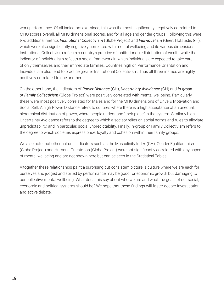work performance. Of all indicators examined, this was the most significantly negatively correlated to MHQ scores overall, all MHQ dimensional scores, and for all age and gender groups. Following this were two additional metrics *Institutional Collectivism* (Globe Project) and *Individualism* (Geert Hofstede; GH), which were also significantly negatively correlated with mental wellbeing and its various dimensions. Institutional Collectivism reflects a country's practice of Institutional redistribution of wealth while the indicator of Individualism reflects a social framework in which individuals are expected to take care of only themselves and their immediate families. Countries high on Performance Orientation and Individualism also tend to practice greater Institutional Collectivism. Thus all three metrics are highly positively correlated to one another.

On the other hand, the indicators of *Power Distance* (GH), *Uncertainty Avoidance* (GH) and *In-group or Family Collectivism* (Globe Project) were positively correlated with mental wellbeing. Particularly, these were most positively correlated for Males and for the MHQ dimensions of Drive & Motivation and Social Self. A high Power Distance refers to cultures where there is a high acceptance of an unequal, hierarchical distribution of power, where people understand "their place" in the system. Similarly high Uncertainty Avoidance refers to the degree to which a society relies on social norms and rules to alleviate unpredictability, and in particular, social unpredictability. Finally, In-group or Family Collectivism refers to the degree to which societies express pride, loyalty and cohesion within their family groups.

We also note that other cultural indicators such as the Masculinity Index (GH), Gender Egalitarianism (Globe Project) and Humane Orientation (Globe Project) were not significantly correlated with any aspect of mental wellbeing and are not shown here but can be seen in the Statistical Tables.

Altogether these relationships paint a surprising but consistent picture: a culture where we are each for ourselves and judged and sorted by performance may be good for economic growth but damaging to our collective mental wellbeing. What does this say about who we are and what the goals of our social, economic and political systems should be? We hope that these findings will foster deeper investigation and active debate.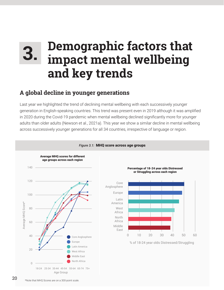### **Demographic factors that impact mental wellbeing and key trends 3.**

#### **A global decline in younger generations**

Last year we highlighted the trend of declining mental wellbeing with each successively younger generation in English-speaking countries. This trend was present even in 2019 although it was amplified in 2020 during the Covid-19 pandemic when mental wellbeing declined significantly more for younger adults than older adults (Newson et al., 2021a). This year we show a similar decline in mental wellbeing across successively younger generations for all 34 countries, irrespective of language or region.

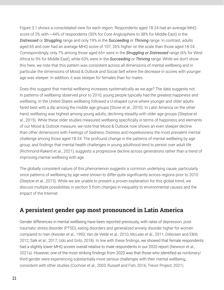Figure 3.1 shows a consolidated view for each region. Respondents aged 18-24 had an average MHQ score of 29, with ~44% of respondents (50% for Core Anglosphere to 38% for Middle East) in the *Distressed* or *Struggling* range and only 19% in the *Succeeding* or *Thriving* range. In contrast, adults aged 65 and over had an average MHQ score of 107, 26% higher on the scale than those aged 18-24. Correspondingly, only 7% among those aged 65+ were in the *Struggling or Distressed* range (6% for West Africa to 9% for Middle East), while 63% were in the *Succeeding* or *Thriving* range. While we don't show this here, we note that this pattern was consistent across all dimensions of mental wellbeing and in particular the dimensions of Mood & Outlook and Social Self where the decrease in scores with younger age was steeper. In addition, it was steeper for females than for males.

Does this suggest that mental wellbeing increases systematically as we age? The data suggests not. In patterns of wellbeing observed prior to 2010, young people typically had the greatest happiness and wellbeing. In the United States wellbeing followed a U-shaped curve where younger and older adults fared best with a dip among the middle age groups (Stone et al., 2010). In Latin America on the other hand, wellbeing was highest among young adults, declining steadily with older age groups (Steptoe et al., 2015). While these older studies measured wellbeing specifically in terms of happiness and elements of our Mood & Outlook measure, we note that Mood & Outlook now shows an even steeper decline than other dimensions with Feelings of Sadness, Distress and Hopelessness the most prevalent mental challenge among those aged 18-24. The profound change in the patterns of mental wellbeing by age group, and findings that mental health challenges in young adulthood tend to persist over adult life (Richmond-Rakerd et al., 2021), suggests a progressive decline across generations rather than a trend of improving mental wellbeing with age.

The globally consistent nature of this phenomenon suggests a common underlying cause, particularly since patterns of wellbeing by age were shown to differ quite significantly across regions prior to 2010 (Steptoe et al., 2015). While we are unable to present a proven explanation for this global trend, we discuss multiple possibilities in section 5 from changes in inequality to environmental causes and the impact of the Internet.

#### **A persistent gender gap most pronounced in Latin America**

Gender differences in mental wellbeing have been reported previously, with rates of depression, posttraumatic stress disorder (PTSD), eating disorders and generalized anxiety disorder higher for women compared to men (Kessler et al., 1993; Van de Velde et al., 2010; McLean et al., 2011; Ditlevsen and Elklit, 2012; Salk et al., 2017; Udo and Grilo, 2018). In line with these findings, we showed that female respondents had a slightly lower MHQ scores overall relative to male respondents in our 2020 report (Newson et al., 2021a). However, one of the most striking findings from 2020 was that those who identified as nonbinary/ third gender were experiencing substantially more serious challenges with their mental wellbeing, consistent with other studies (Cochran et al., 2003; Russell and Fish, 2016; Trevor Project, 2021).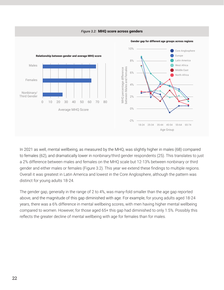

In 2021 as well, mental wellbeing, as measured by the MHQ, was slightly higher in males (68) compared to females (62), and dramatically lower in nonbinary/third gender respondents (25). This translates to just a 2% difference between males and females on the MHQ scale but 12-13% between nonbinary or third gender and either males or females (Figure 3.2). This year we extend these findings to multiple regions. Overall it was greatest in Latin America and lowest in the Core Anglosphere, although the pattern was distinct for young adults 18-24.

The gender gap, generally in the range of 2 to 4%, was many-fold smaller than the age gap reported above, and the magnitude of this gap diminished with age. For example, for young adults aged 18-24 years, there was a 6% difference in mental wellbeing scores, with men having higher mental wellbeing compared to women. However, for those aged 65+ this gap had diminished to only 1.5%. Possibly this reflects the greater decline of mental wellbeing with age for females than for males.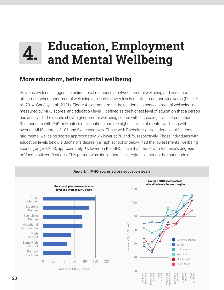### **Education, Employment and Mental Wellbeing 4.**

#### **More education, better mental wellbeing**

Previous evidence suggests a bidirectional relationship between mental wellbeing and education attainment where poor mental wellbeing can lead to lower levels of attainment and vice versa (Esch et al., 2014; Gariépy et al., 2021). Figure 4.1 demonstrates the relationship between mental wellbeing, as measured by MHQ scores, and education level – defined as the highest level of education that a person has achieved. The results show higher mental wellbeing scores with increasing levels of education. Respondents with PhD or Master's qualifications had the highest levels of mental wellbeing with average MHQ scores of 101 and 94, respectively. Those with Bachelor's or Vocational certifications had mental wellbeing scores approximately 6% lower at 78 and 79, respectively. Those individuals with education levels below a Bachelor's degree (i.e. high school or below) had the lowest mental wellbeing scores (range 47-58), approximately 9% lower on the MHQ scale than those with Bachelor's degrees or Vocational certifications. This pattern was similar across all regions, although the magnitude of

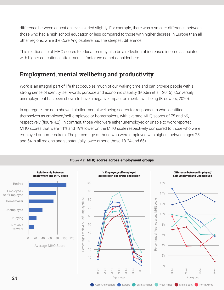difference between education levels varied slightly. For example, there was a smaller difference between those who had a high school education or less compared to those with higher degrees in Europe than all other regions, while the Core Anglosphere had the steepest difference.

This relationship of MHQ scores to education may also be a reflection of increased income associated with higher educational attainment, a factor we do not consider here.

#### **Employment, mental wellbeing and productivity**

Work is an integral part of life that occupies much of our waking time and can provide people with a strong sense of identity, self-worth, purpose and economic stability (Modini et al., 2016). Conversely, unemployment has been shown to have a negative impact on mental wellbeing (Brouwers, 2020).

In aggregate, the data showed similar mental wellbeing scores for respondents who identified themselves as employed/self-employed or homemakers, with average MHQ scores of 75 and 69, respectively (figure 4.2). In contrast, those who were either unemployed or unable to work reported MHQ scores that were 11% and 19% lower on the MHQ scale respectively compared to those who were employed or homemakers. The percentage of those who were employed was highest between ages 25 and 54 in all regions and substantially lower among those 18-24 and 65+.



#### *Figure 4.2:* MHQ scores across employment groups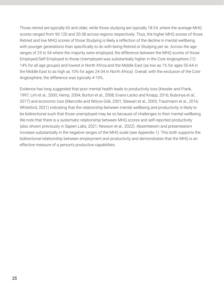Those retired are typically 65 and older, while those studying are typically 18-24, where the average MHQ scores ranged from 90-120 and 20-38 across regions respectively. Thus, the higher MHQ scores of those Retired and low MHQ scores of those Studying is likely a reflection of the decline in mental wellbeing with younger generations than specifically to do with being Retired or Studying per se. Across the age ranges of 25 to 54 where the majority were employed, the difference between the MHQ scores of those Employed/Self-Employed to those Unemployed was substantially higher in the Core Anglosphere (12- 14% for all age groups) and lowest in North Africa and the Middle East (as low as 1% for ages 55-64 in the Middle East to as high as 10% for ages 24-34 in North Africa). Overall, with the exclusion of the Core Anglosphere, the difference was typically 4-10%.

Evidence has long suggested that poor mental health leads to productivity loss (Kessler and Frank, 1997; Lim et al., 2000; Hemp, 2004; Burton et al., 2008; Evans-Lacko and Knapp, 2016; Bubonya et al., 2017) and economic loss (Marcotte and Wilcox-Gök, 2001; Stewart et al., 2003; Trautmann et al., 2016; Whiteford, 2021) indicating that the relationship between mental wellbeing and productivity is likely to be bidirectional such that those unemployed may be so because of challenges to their mental wellbeing. We note that there is a systematic relationship between MHQ scores and self-reported productivity (also shown previously in Sapien Labs, 2021; Newson et al., 2022). Absenteeism and presenteeism increase substantially in the negative ranges of the MHQ scale (see Appendix 1). This both supports the bidirectional relationship between employment and productivity and demonstrates that the MHQ is an effective measure of a person's productive capabilities.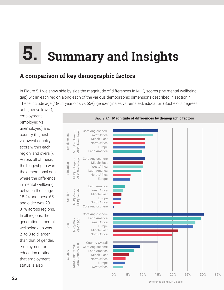### **Summary and Insights 5.**

#### **A comparison of key demographic factors**

In Figure 5.1 we show side by side the magnitude of differences in MHQ scores (the mental wellbeing gap) within each region along each of the various demographic dimensions described in section 4. These include age (18-24 year olds vs 65+), gender (males vs females), education (Bachelor's degrees

or higher vs lower), employment (employed vs unemployed) and country (highest vs lowest country score within each region, and overall). Across all of these, the biggest gap was the generational gap where the difference in mental wellbeing between those age 18-24 and those 65 and older was 20- 31% across regions. In all regions, the generational mental wellbeing gap was 2- to 3-fold larger than that of gender, employment or education (noting that employment status is also

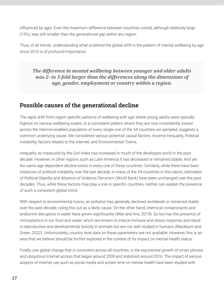influenced by age). Even the maximum difference between countries overall, although relatively large (15%), was still smaller than the generational gap within any region.

Thus, of all trends, understanding what is behind the global shift in the pattern of mental wellbeing by age since 2010 is of profound importance.

*The difference in mental wellbeing between younger and older adults was 2- to 3-fold larger than the differences along the dimensions of age, gender, employment or country within a region.* 

#### **Possible causes of the generational decline**

The rapid shift from region specific patterns of wellbeing with age where young adults were typically highest on various wellbeing scales, to a consistent pattern where they are now consistently lowest across the Internet-enabled population of every single one of the 34 countries we sampled, suggests a common underlying cause. We considered various potential causal factors: Income Inequality, Political Instability, factors related to the Internet, and Environmental Toxins.

Inequality as measured by the Gini index has increased in much of the developed world in the past decade. However, in other regions such as Latin America it has *decreased* or remained stable. And yet the same age dependent decline exists in every one of these countries. Similarly, while there have been instances of political instability over the last decade, in many of the 34 countries in this report, estimates of *Political Stability and Absence of Violence/Terrorism* (World Bank) have been unchanged over the past decades. Thus, while these factors may play a role in specific countries, neither can explain the presence of such a consistent global trend.

With respect to environmental toxins, air pollution has generally declined worldwide or remained stable over the past decade, ruling this out as a likely cause. On the other hand, chemical contaminants and endocrine disruptors in water have grown significantly (Wee and Aris, 2019). So too has the presence of microplastics in our food and water, which are known to induce immune and stress response and result in reproductive and developmental toxicity in animals but are not well studied in humans (Blackburn and Green, 2022). Unfortunately, country level data on these parameters are not available. However, this is an area that we believe should be further explored in the context of its impact on mental health status.

Finally, one global change that is consistent across all countries, is the exponential growth of smart phones and ubiquitous Internet access that began around 2009 and stabilized around 2016. The impact of various aspects of Internet use such as social media and screen time on mental health have been studied with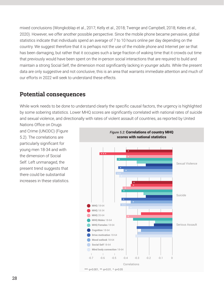mixed conclusions (Wongkoblap et al., 2017; Kelly et al., 2018; Twenge and Campbell, 2018; Keles et al., 2020). However, we offer another possible perspective. Since the mobile phone became pervasive, global statistics indicate that individuals spend an average of 7 to 10 hours online per day depending on the country. We suggest therefore that it is perhaps not the use of the mobile phone and Internet per se that has been damaging, but rather that it occupies such a large fraction of waking time that it crowds out time that previously would have been spent on the in-person social interactions that are required to build and maintain a strong Social Self, the dimension most significantly lacking in younger adults. While the present data are only suggestive and not conclusive, this is an area that warrants immediate attention and much of our efforts in 2022 will seek to understand these effects.

#### **Potential consequences**

While work needs to be done to understand clearly the specific causal factors, the urgency is highlighted by some sobering statistics. Lower MHQ scores are significantly correlated with national rates of suicide and sexual violence, and directionally with rates of violent assault of countries, as reported by United

Nations Office on Drugs and Crime (UNODC) (Figure 5.2). The correlations are particularly significant for young men 18-34 and with the dimension of Social Self. Left unmanaged, the present trend suggests that there could be substantial increases in these statistics.

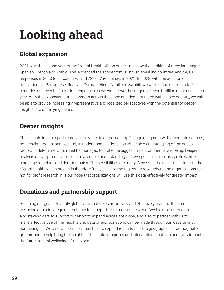## **Looking ahead**

### **Global expansion**

2021 was the second year of the Mental Health Million project and saw the addition of three languages: Spanish, French and Arabic. This expanded the scope from 8 English-speaking countries and 49,000 responses in 2020 to 34 countries and 223,087 responses in 2021. In 2022, with the addition of translations in Portuguese, Russian, German, Hindi, Tamil and Swahili, we will expand our reach to 72 countries and over half a million responses as we work towards our goal of over 1 million responses each year. With the expansion both in breadth across the globe and depth of reach within each country, we will be able to provide increasingly representative and localized perspectives with the potential for deeper insights into underlying drivers.

#### **Deeper insights**

The insights in this report represent only the tip of the iceberg. Triangulating data with other data sources, both environmental and societal, to understand relationships will enable an untangling of the causal factors to determine what must be managed to make the biggest impact on mental wellbeing. Deeper analysis of symptom profiles can also enable understanding of how specific clinical risk profiles differ across geographies and demographics. The possibilities are many. Access to the real time data from the Mental Health Million project is therefore freely available on request to researchers and organizations for not-for-profit research. It is our hope that organizations will use this data effectively for greater impact.

#### **Donations and partnership support**

Reaching our goals of a truly global view that helps us actively and effectively manage the mental wellbeing of society requires multifaceted support from around the world. We look to our readers and stakeholders to support our effort to expand across the globe, and also to partner with us to make effective use of the insights this data offers. Donations can be made through our website or by contacting us. We also welcome partnerships to expand reach to specific geographies or demographic groups, and to help bring the insights of this data into policy and interventions that can positively impact the future mental wellbeing of the world.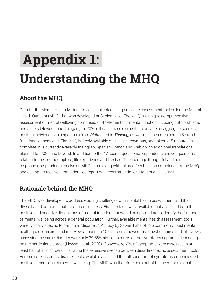# **Understanding the MHQ Appendix 1:**

#### **About the MHQ**

Data for the Mental Health Million project is collected using an online assessment tool called the Mental Health Quotient (MHQ) that was developed at Sapien Labs. The MHQ is a unique comprehensive assessment of mental wellbeing comprised of 47 elements of mental function including both problems and assets (Newson and Thiagarajan, 2020). It uses these elements to provide an aggregate score to position individuals on a spectrum from *Distressed* to *Thriving,* as well as sub-scores across 5 broad functional dimensions. The MHQ is freely available online, is anonymous, and takes ~15 minutes to complete. It is currently available in English, Spanish, French and Arabic with additional translations planned for 2022 and beyond. In addition to the 47 scored questions, respondents answer questions relating to their demographics, life experience and lifestyle. To encourage thoughtful and honest responses, respondents receive an MHQ score along with tailored feedback on completion of the MHQ and can opt to receive a more detailed report with recommendations for action via email.

#### **Rationale behind the MHQ**

The MHQ was developed to address existing challenges with mental health assessment, and the diversity and comorbid nature of mental illness. First, no tools were available that assessed both the positive and negative dimensions of mental function that would be appropriate to identify the full range of mental wellbeing across a general population. Further, available mental health assessment tools were typically specific to particular 'disorders'. A study by Sapien Labs of 126 commonly used mental health questionnaires and interviews, spanning 10 disorders showed that questionnaires and interviews assessing the same disorder were only 29-58% similar in terms of the symptoms captured, depending on the particular disorder (Newson et al., 2020). Conversely, 60% of symptoms were assessed in at least half of all disorders illustrating the extensive overlap between disorder-specific assessment tools. Furthermore, no cross-disorder tools available assessed the full spectrum of symptoms or considered positive dimensions of mental wellbeing. The MHQ was therefore born out of the need for a global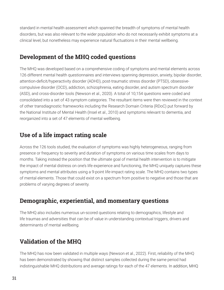standard in mental health assessment which spanned the breadth of symptoms of mental health disorders, but was also relevant to the wider population who do not necessarily exhibit symptoms at a clinical level, but nonetheless may experience natural fluctuations in their mental wellbeing.

#### **Development of the MHQ coded questions**

The MHQ was developed based on a comprehensive coding of symptoms and mental elements across 126 different mental health questionnaires and interviews spanning depression, anxiety, bipolar disorder, attention-deficit/hyperactivity disorder (ADHD), post-traumatic stress disorder (PTSD), obsessivecompulsive disorder (OCD), addiction, schizophrenia, eating disorder, and autism spectrum disorder (ASD), and cross-disorder tools (Newson et al., 2020). A total of 10,154 questions were coded and consolidated into a set of 43 symptom categories. The resultant items were then reviewed in the context of other transdiagnostic frameworks including the Research Domain Criteria (RDoC) put forward by the National Institute of Mental Health (Insel et al., 2010) and symptoms relevant to dementia, and reorganized into a set of 47 elements of mental wellbeing.

#### **Use of a life impact rating scale**

Across the 126 tools studied, the evaluation of symptoms was highly heterogeneous, ranging from presence or frequency to severity and duration of symptoms on various time scales from days to months. Taking instead the position that the ultimate goal of mental health intervention is to mitigate the impact of mental distress on one's life experience and functioning, the MHQ uniquely captures these symptoms and mental attributes using a 9-point life-impact rating scale. The MHQ contains two types of mental elements. Those that could exist on a spectrum from positive to negative and those that are problems of varying degrees of severity.

#### **Demographic, experiential, and momentary questions**

The MHQ also includes numerous un-scored questions relating to demographics, lifestyle and life traumas and adversities that can be of value in understanding contextual triggers, drivers and determinants of mental wellbeing.

#### **Validation of the MHQ**

The MHQ has now been validated in multiple ways (Newson et al., 2022). First, reliability of the MHQ has been demonstrated by showing that distinct samples collected during the same period had indistinguishable MHQ distributions and average ratings for each of the 47 elements. In addition, MHQ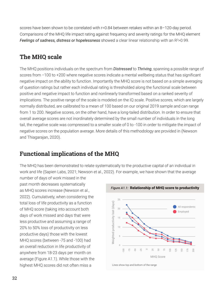scores have been shown to be correlated with r=0.84 between retakes within an 8–120-day period. Comparisons of the MHQ life impact rating against frequency and severity ratings for the MHQ element Feelings of sadness, distress or hopelessness showed a clear linear relationship with an R<sup>2</sup>>0.99.

#### **The MHQ scale**

The MHQ positions individuals on the spectrum from *Distressed* to *Thriving*, spanning a possible range of scores from −100 to +200 where negative scores indicate a mental wellbeing status that has significant negative impact on the ability to function. Importantly the MHQ score is not based on a simple averaging of question ratings but rather each individual rating is thresholded along the functional scale between positive and negative impact to function and nonlinearly transformed based on a ranked severity of implications. The positive range of the scale is modeled on the IQ scale. Positive scores, which are largely normally distributed, are calibrated to a mean of 100 based on our original 2019 sample and can range from 1 to 200. Negative scores, on the other hand, have a long-tailed distribution. In order to ensure that overall average scores are not inordinately determined by the small number of individuals in the long tail, the negative scale was compressed to a smaller scale of 0 to -100 in order to mitigate the impact of negative scores on the population average. More details of this methodology are provided in (Newson and Thiagarajan, 2020).

#### **Functional implications of the MHQ**

The MHQ has been demonstrated to relate systematically to the productive capital of an individual in work and life (Sapien Labs, 2021; Newson et al., 2022). For example, we have shown that the average

number of days of work missed in the past month decreases systematically as MHQ scores increase (Newson et al., 2022). Cumulatively, when considering the total loss of life productivity as a function of MHQ score (taking into account both days of work missed and days that were less productive and assuming a range of 20% to 50% loss of productivity on less productive days) those with the lowest MHQ scores (between -75 and -100) had an overall reduction in life productivity of anywhere from 18-23 days per month on average (Figure A1.1). While those with the highest MHQ scores did not often miss a

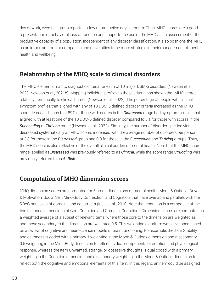day of work, even this group reported a few unproductive days a month. Thus, MHQ scores are a good representation of behavioral loss of function and supports the use of the MHQ as an assessment of the productive capacity of a population, independent of any disorder classification. It also positions the MHQ as an important tool for companies and universities to be more strategic in their management of mental health and wellbeing.

#### **Relationship of the MHQ scale to clinical disorders**

The MHQ elements map to diagnostic criteria for each of 10 major DSM-5 disorders (Newson et al., 2020; Newson et al., 2021b). Mapping individual profiles to these criteria has shown that MHQ scores relate systematically to clinical burden (Newson et al., 2022). The percentage of people with clinical symptom profiles that aligned with any of 10 DSM-5 defined disorder criteria increased as the MHQ score decreased, such that 89% of those with scores in the *Distressed* range had symptom profiles that aligned with at least one of the 10 DSM-5 defined disorder compared to 0% for those with scores in the *Succeeding* or *Thriving* range (Newson et al., 2022). Similarly, the number of disorders per individual decreased systematically as MHQ scores increased with the average number of disorders per person at 3.8 for those in the *Distressed* group and 0.0 for those in the *Succeeding* and *Thriving* groups. Thus, the MHQ score is also reflective of the overall clinical burden of mental health. Note that the MHQ score range labelled as *Distressed* was previously referred to as *Clinical*, while the score range *Struggling* was previously referred to as *At Risk*.

#### **Computation of MHQ dimension scores**

MHQ dimension scores are computed for 5 broad dimensions of mental health: Mood & Outlook, Drive & Motivation, Social Self, Mind-Body Connection, and Cognition, that have overlap and parallels with the RDoC principles of domains and constructs (Insel et al., 2010; Note that cognition is a composite of the two historical dimensions of Core Cognition and Complex Cognition). Dimension scores are computed as a weighted average of a subset of relevant items, where those core to the dimension are weighted as 1 and those secondary to the dimension are weighted 0.5. This weighting algorithm was developed based on a review of cognitive and neuroscience models of brain functioning. For example, the item Stability and calmness is coded with a primary 1 weighting in the Mood & Outlook dimension and a secondary 0.5 weighting in the Mind-Body dimension to reflect its dual components of emotion and physiological response, whereas the item Unwanted, strange, or obsessive thoughts is dual coded with a primary weighting in the Cognition dimension and a secondary weighting in the Mood & Outlook dimension to reflect both the cognitive and emotional elements of this item. In this regard, an item could be assigned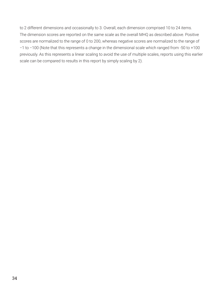to 2 different dimensions and occasionally to 3. Overall, each dimension comprised 10 to 24 items. The dimension scores are reported on the same scale as the overall MHQ as described above. Positive scores are normalized to the range of 0 to 200, whereas negative scores are normalized to the range of −1 to −100 (Note that this represents a change in the dimensional scale which ranged from -50 to +100 previously. As this represents a linear scaling to avoid the use of multiple scales, reports using this earlier scale can be compared to results in this report by simply scaling by 2).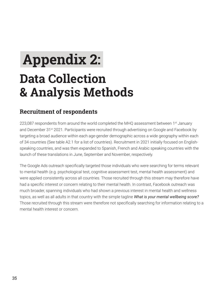# **Data Collection & Analysis Methods Appendix 2:**

#### **Recruitment of respondents**

223,087 respondents from around the world completed the MHQ assessment between 1<sup>st</sup> January and December 31<sup>st</sup> 2021. Participants were recruited through advertising on Google and Facebook by targeting a broad audience within each age-gender demographic across a wide geography within each of 34 countries (See table A2.1 for a list of countries). Recruitment in 2021 initially focused on Englishspeaking countries, and was then expanded to Spanish, French and Arabic speaking countries with the launch of these translations in June, September and November, respectively.

The Google Ads outreach specifically targeted those individuals who were searching for terms relevant to mental health (e.g. psychological test, cognitive assessment test, mental health assessment) and were applied consistently across all countries. Those recruited through this stream may therefore have had a specific interest or concern relating to their mental health. In contrast, Facebook outreach was much broader, spanning individuals who had shown a previous interest in mental health and wellness topics, as well as all adults in that country with the simple tagline *What is your mental wellbeing score?* Those recruited through this stream were therefore not specifically searching for information relating to a mental health interest or concern.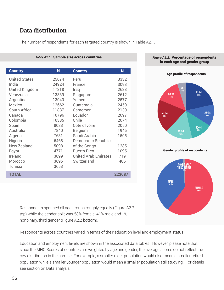#### **Data distribution**

| Table A2.1: Sample size across countries |       |                             |        |  |
|------------------------------------------|-------|-----------------------------|--------|--|
|                                          |       |                             |        |  |
| <b>Country</b>                           | N     | <b>Country</b>              | N      |  |
| <b>United States</b>                     | 25074 | Peru                        | 3332   |  |
| India                                    | 24924 | France                      | 3093   |  |
| United Kingdom                           | 17318 | Iraq                        | 2633   |  |
| Venezuela                                | 13839 | Singapore                   | 2612   |  |
| Argentina                                | 13043 | Yemen                       | 2577   |  |
| Mexico                                   | 12662 | Guatemala                   | 2459   |  |
| South Africa                             | 11887 | Cameroon                    | 2139   |  |
| Canada                                   | 10796 | Ecuador                     | 2097   |  |
| Colombia                                 | 10385 | Chile                       | 2074   |  |
| Spain                                    | 8083  | Cote d'Ivoire               | 2050   |  |
| Australia                                | 7840  | <b>Belgium</b>              | 1945   |  |
| Algeria                                  | 7631  | Saudi Arabia                | 1505   |  |
| Nigeria                                  | 6468  | Democratic Republic         |        |  |
| New Zealand                              | 5098  | of the Congo                | 1285   |  |
| Egypt                                    | 4771  | <b>Puerto Rico</b>          | 1095   |  |
| Ireland                                  | 3899  | <b>United Arab Emirates</b> | 719    |  |
| Morocco                                  | 3695  | Switzerland                 | 406    |  |
| Tunisia                                  | 3653  |                             |        |  |
| <b>TOTAL</b>                             |       |                             | 223087 |  |

The number of respondents for each targeted country is shown in Table A2.1.



*Figure A2.2:* Percentage of respondents in each age and gender group





Respondents spanned all age groups roughly equally (Figure A2.2 top) while the gender split was 58% female, 41% male and 1% nonbinary/third gender (Figure A2.2 bottom).

Respondents across countries varied in terms of their education level and employment status.

Education and employment levels are shown in the associated data tables. However, please note that since the MHQ Scores of countries are weighted by age and gender, the average scores do not reflect the raw distribution in the sample. For example, a smaller older population would also mean a smaller retired population while a smaller younger population would mean a smaller population still studying. For details see section on Data analysis.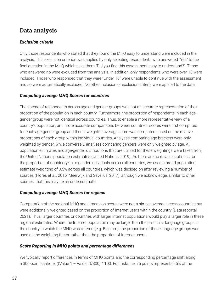#### **Data analysis**

#### *Exclusion criteria*

Only those respondents who stated that they found the MHQ easy to understand were included in the analysis. This exclusion criterion was applied by only selecting respondents who answered "Yes" to the final question in the MHQ which asks them "Did you find this assessment easy to understand?". Those who answered no were excluded from the analysis. In addition, only respondents who were over 18 were included. Those who responded that they were "Under 18" were unable to continue with the assessment and so were automatically excluded. No other inclusion or exclusion criteria were applied to the data.

#### *Computing average MHQ Scores for countries*

The spread of respondents across age and gender groups was not an accurate representation of their proportion of the population in each country. Furthermore, the proportion of respondents in each agegender group were not identical across countries. Thus, to enable a more representative view of a country's population, and more accurate comparisons between countries, scores were first computed for each age-gender group and then a weighted average score was computed based on the relative proportions of each group within individual countries. Analyses comparing age brackets were only weighted by gender, while conversely, analyses comparing genders were only weighted by age. All population estimates and age-gender distributions that are utilized for these weightings were taken from the United Nations population estimates (United Nations, 2019). As there are no reliable statistics for the proportion of nonbinary/third gender individuals across all countries, we used a broad population estimate weighting of 0.5% across all countries, which was decided on after reviewing a number of sources (Flores et al., 2016; Meerwijk and Sevelius, 2017), although we acknowledge, similar to other sources, that this may be an underestimate.

#### *Computing average MHQ Scores for regions*

Computation of the regional MHQ and dimension scores were not a simple average across countries but were additionally weighted based on the proportion of Internet users within the country (Data reportal, 2021). Thus, larger countries or countries with larger Internet populations would play a larger role in these regional estimates. Where the Internet population may be larger than the particular language groups in the country in which the MHQ was offered (e.g. Belgium), the proportion of those language groups was used as the weighting factor rather than the proportion of Internet users.

#### *Score Reporting in MHQ points and percentage differences*

We typically report differences in terms of MHQ points and the corresponding percentage shift along a 300-point scale i.e. ((Value  $1 -$  Value 2)/300)  $*$  100. For instance, 75 points represents 25% of the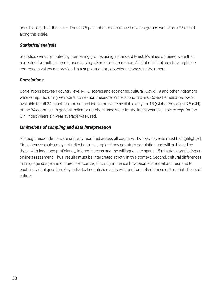possible length of the scale. Thus a 75-point shift or difference between groups would be a 25% shift along this scale.

#### *Statistical analysis*

Statistics were computed by comparing groups using a standard t-test. P-values obtained were then corrected for multiple comparisons using a Bonferroni correction. All statistical tables showing these corrected p-values are provided in a supplementary download along with the report.

#### *Correlations*

Correlations between country level MHQ scores and economic, cultural, Covid-19 and other indicators were computed using Pearson's correlation measure. While economic and Covid-19 indicators were available for all 34 countries, the cultural indicators were available only for 18 (Globe Project) or 25 (GH) of the 34 countries. In general indicator numbers used were for the latest year available except for the Gini index where a 4 year average was used.

#### *Limitations of sampling and data interpretation*

Although respondents were similarly recruited across all countries, two key caveats must be highlighted. First, these samples may not reflect a true sample of any country's population and will be biased by those with language proficiency, Internet access and the willingness to spend 15 minutes completing an online assessment. Thus, results must be interpreted strictly in this context. Second, cultural differences in language usage and culture itself can significantly influence how people interpret and respond to each individual question. Any individual country's results will therefore reflect these differential effects of culture.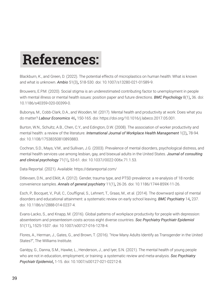# **References:**

Blackburn, K., and Green, D. (2022). The potential effects of microplastics on human health: What is known and what is unknown. *Ambio* 51(3)**,** 518-530. doi: 10.1007/s13280-021-01589-9.

Brouwers, E.P.M. (2020). Social stigma is an underestimated contributing factor to unemployment in people with mental illness or mental health issues: position paper and future directions. *BMC Psychology* 8(1)**,** 36. doi: 10.1186/s40359-020-00399-0.

Bubonya, M., Cobb-Clark, D.A., and Wooden, M. (2017). Mental health and productivity at work: Does what you do matter? *Labour Economics* 46**,** 150-165. doi: https://doi.org/10.1016/j.labeco.2017.05.001.

Burton, W.N., Schultz, A.B., Chen, C.Y., and Edington, D.W. (2008). The association of worker productivity and mental health: a review of the literature. *International Journal of Workplace Health Management* 1(2)**,** 78-94. doi: 10.1108/17538350810893883.

Cochran, S.D., Mays, V.M., and Sullivan, J.G. (2003). Prevalence of mental disorders, psychological distress, and mental health services use among lesbian, gay, and bisexual adults in the United States. *Journal of consulting and clinical psychology* 71(1)**,** 53-61. doi: 10.1037//0022-006x.71.1.53.

Data Reportal. (2021). Available: https://datareportal.com/

Ditlevsen, D.N., and Elklit, A. (2012). Gender, trauma type, and PTSD prevalence: a re-analysis of 18 nordic convenience samples. *Annals of general psychiatry* 11(1)**,** 26-26. doi: 10.1186/1744-859X-11-26.

Esch, P., Bocquet, V., Pull, C., Couffignal, S., Lehnert, T., Graas, M., et al. (2014). The downward spiral of mental disorders and educational attainment: a systematic review on early school leaving. *BMC Psychiatry* 14**,** 237. doi: 10.1186/s12888-014-0237-4.

Evans-Lacko, S., and Knapp, M. (2016). Global patterns of workplace productivity for people with depression: absenteeism and presenteeism costs across eight diverse countries. *Soc Psychiatry Psychiatr Epidemiol* 51(11)**,** 1525-1537. doi: 10.1007/s00127-016-1278-4.

Flores, A., Herman, J., Gates, G., and Brown, T. (2016). "How Many Adults Identify as Transgender in the United States?", The Williams Institute.

Gariépy, G., Danna, S.M., Hawke, L., Henderson, J., and Iyer, S.N. (2021). The mental health of young people who are not in education, employment, or training: a systematic review and meta-analysis. *Soc Psychiatry Psychiatr Epidemiol***,** 1-15. doi: 10.1007/s00127-021-02212-8.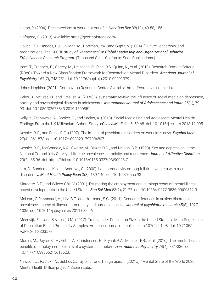Hemp, P. (2004). Presenteeism: at work--but out of it. *Harv Bus Rev* 82(10)**,** 49-58, 155.

Hofstede, G. (2013). Available: https://geerthofstede.com/

House, R.J., Hanges, P.J., Javidan, M., Dorfman, P.W., and Gupta, V. (2004). "Culture, leadership, and organizations: The GLOBE study of 62 societies," in *Global Leadership and Organizational Behavior Effectiveness Research Program*. (Thousand Oaks, California: Sage Publications.).

Insel, T., Cuthbert, B., Garvey, M., Heinssen, R., Pine, D.S., Quinn, K., et al. (2010). Research Domain Criteria (RDoC): Toward a New Classification Framework for Research on Mental Disorders. *American Journal of Psychiatry* 167(7)**,** 748-751. doi: 10.1176/appi.ajp.2010.09091379.

Johns Hopkins. (2021). Coronavirus Resource Center. Available: https://coronavirus.jhu.edu/

Keles, B., McCrae, N., and Grealish, A. (2020). A systematic review: the influence of social media on depression, anxiety and psychological distress in adolescents. *International Journal of Adolescence and Youth* 25(1)**,** 79- 93. doi: 10.1080/02673843.2019.1590851.

Kelly, Y., Zilanawala, A., Booker, C., and Sacker, A. (2018). Social Media Use and Adolescent Mental Health: Findings From the UK Millennium Cohort Study. *eClinicalMedicine* 6**,** 59-68. doi: 10.1016/j.eclinm.2018.12.005.

Kessler, R.C., and Frank, R.G. (1997). The impact of psychiatric disorders on work loss days. *Psychol Med* 27(4)**,** 861-873. doi: 10.1017/s0033291797004807.

Kessler, R.C., McGonagle, K.A., Swartz, M., Blazer, D.G., and Nelson, C.B. (1993). Sex and depression in the National Comorbidity Survey I: Lifetime prevalence, chronicity and recurrence. *Journal of Affective Disorders* 29(2)**,** 85-96. doi: https://doi.org/10.1016/0165-0327(93)90026-G.

Lim, D., Sanderson, K., and Andrews, G. (2000). Lost productivity among full-time workers with mental disorders. *J Ment Health Policy Econ* 3(3)**,** 139-146. doi: 10.1002/mhp.93.

Marcotte, D.E., and Wilcox-Gök, V. (2001). Estimating the employment and earnings costs of mental illness: recent developments in the United States. *Soc Sci Med* 53(1)**,** 21-27. doi: 10.1016/s0277-9536(00)00312-9.

McLean, C.P., Asnaani, A., Litz, B.T., and Hofmann, S.G. (2011). Gender differences in anxiety disorders: prevalence, course of illness, comorbidity and burden of illness. *Journal of psychiatric research* 45(8)**,** 1027- 1035. doi: 10.1016/j.jpsychires.2011.03.006.

Meerwijk, E.L., and Sevelius, J.M. (2017). Transgender Population Size in the United States: a Meta-Regression of Population-Based Probability Samples. American journal of public health 107(2), e1-e8. doi: 10.2105/ AJPH.2016.303578.

Modini, M., Joyce, S., Mykletun, A., Christensen, H., Bryant, R.A., Mitchell, P.B., et al. (2016). The mental health benefits of employment: Results of a systematic meta-review. *Australas Psychiatry* 24(4)**,** 331-336. doi: 10.1177/1039856215618523.

Newson, J., Pastukh, V., Sukhoi, O., Taylor, J., and Thiagarajan, T. (2021a). "Mental State of the World 2020, Mental Health Million project", Sapien Labs.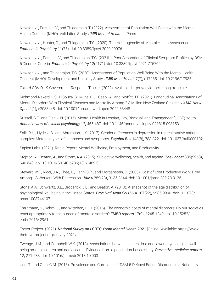Newson, J., Pastukh, V., and Thiagarajan, T. (2022). Assessment of Population Well-Being with the Mental Health Quotient (MHQ): Validation Study. *JMIR Mental Health* In Press.

Newson, J.J., Hunter, D., and Thiagarajan, T.C. (2020). The Heterogeneity of Mental Health Assessment. *Frontiers in Psychiatry* 11(76). doi: 10.3389/fpsyt.2020.00076.

Newson, J.J., Pastukh, V., and Thiagarajan, T.C. (2021b). Poor Separation of Clinical Symptom Profiles by DSM-5 Disorder Criteria. *Frontiers in Psychiatry* 12(2171). doi: 10.3389/fpsyt.2021.775762.

Newson, J.J., and Thiagarajan, T.C. (2020). Assessment of Population Well-Being With the Mental Health Quotient (MHQ): Development and Usability Study. *JMIR Ment Health* 7(7)**,** e17935. doi: 10.2196/17935.

Oxford COVID-19 Government Response Tracker (2022). Available: https://covidtracker.bsg.ox.ac.uk/

Richmond-Rakerd, L.S., D'Souza, S., Milne, B.J., Caspi, A., and Moffitt, T.E. (2021). Longitudinal Associations of Mental Disorders With Physical Diseases and Mortality Among 2.3 Million New Zealand Citizens. *JAMA Netw Open* 4(1)**,** e2033448. doi: 10.1001/jamanetworkopen.2020.33448.

Russell, S.T., and Fish, J.N. (2016). Mental Health in Lesbian, Gay, Bisexual, and Transgender (LGBT) Youth. *Annual review of clinical psychology* 12**,** 465-487. doi: 10.1146/annurev-clinpsy-021815-093153.

Salk, R.H., Hyde, J.S., and Abramson, L.Y. (2017). Gender differences in depression in representative national samples: Meta-analyses of diagnoses and symptoms. *Psychol Bull* 143(8)**,** 783-822. doi: 10.1037/bul0000102.

Sapien Labs. (2021). Rapid Report: Mental Wellbeing, Employment, and Productivity.

Steptoe, A., Deaton, A., and Stone, A.A. (2015). Subjective wellbeing, health, and ageing. *The Lancet* 385(9968)**,** 640-648. doi: 10.1016/S0140-6736(13)61489-0.

Stewart, W.F., Ricci, J.A., Chee, E., Hahn, S.R., and Morganstein, D. (2003). Cost of Lost Productive Work Time Among US Workers With Depression. *JAMA* 289(23)**,** 3135-3144. doi: 10.1001/jama.289.23.3135.

Stone, A.A., Schwartz, J.E., Broderick, J.E., and Deaton, A. (2010). A snapshot of the age distribution of psychological well-being in the United States. *Proc Natl Acad Sci U S A* 107(22)**,** 9985-9990. doi: 10.1073/ pnas.1003744107.

Trautmann, S., Rehm, J., and Wittchen, H.-U. (2016). The economic costs of mental disorders: Do our societies react appropriately to the burden of mental disorders? *EMBO reports* 17(9)**,** 1245-1249. doi: 10.15252/ embr.201642951.

Trevor Project. (2021). *National Survey on LGBTQ Youth Mental Health 2021* [Online]. Available: https://www. thetrevorproject.org/survey-2021/

Twenge, J.M., and Campbell, W.K. (2018). Associations between screen time and lower psychological wellbeing among children and adolescents: Evidence from a population-based study. *Preventive medicine reports* 12**,** 271-283. doi: 10.1016/j.pmedr.2018.10.003.

Udo, T., and Grilo, C.M. (2018). Prevalence and Correlates of DSM-5-Defined Eating Disorders in a Nationally